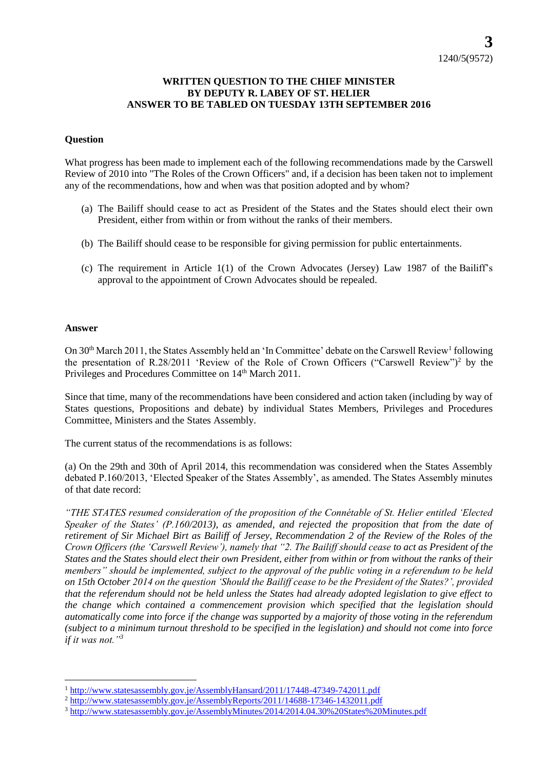## **WRITTEN QUESTION TO THE CHIEF MINISTER BY DEPUTY R. LABEY OF ST. HELIER ANSWER TO BE TABLED ON TUESDAY 13TH SEPTEMBER 2016**

## **Question**

What progress has been made to implement each of the following recommendations made by the Carswell Review of 2010 into "The Roles of the Crown Officers" and, if a decision has been taken not to implement any of the recommendations, how and when was that position adopted and by whom?

- (a) The Bailiff should cease to act as President of the States and the States should elect their own President, either from within or from without the ranks of their members.
- (b) The Bailiff should cease to be responsible for giving permission for public entertainments.
- (c) The requirement in Article 1(1) of the Crown Advocates (Jersey) Law 1987 of the Bailiff's approval to the appointment of Crown Advocates should be repealed.

## **Answer**

On 30<sup>th</sup> March 2011, the States Assembly held an 'In Committee' debate on the Carswell Review<sup>1</sup> following the presentation of R.28/2011 'Review of the Role of Crown Officers ("Carswell Review")<sup>2</sup> by the Privileges and Procedures Committee on 14<sup>th</sup> March 2011.

Since that time, many of the recommendations have been considered and action taken (including by way of States questions, Propositions and debate) by individual States Members, Privileges and Procedures Committee, Ministers and the States Assembly.

The current status of the recommendations is as follows:

(a) On the 29th and 30th of April 2014, this recommendation was considered when the States Assembly debated P.160/2013, 'Elected Speaker of the States Assembly', as amended. The States Assembly minutes of that date record:

*"THE STATES resumed consideration of the proposition of the Connétable of St. Helier entitled 'Elected Speaker of the States' (P.160/2013), as amended, and rejected the proposition that from the date of retirement of Sir Michael Birt as Bailiff of Jersey, Recommendation 2 of the Review of the Roles of the Crown Officers (the 'Carswell Review'), namely that "2. The Bailiff should cease to act as President of the States and the States should elect their own President, either from within or from without the ranks of their members" should be implemented, subject to the approval of the public voting in a referendum to be held on 15th October 2014 on the question 'Should the Bailiff cease to be the President of the States?', provided that the referendum should not be held unless the States had already adopted legislation to give effect to the change which contained a commencement provision which specified that the legislation should automatically come into force if the change was supported by a majority of those voting in the referendum (subject to a minimum turnout threshold to be specified in the legislation) and should not come into force if it was not."<sup>3</sup>*

l <sup>1</sup> <http://www.statesassembly.gov.je/AssemblyHansard/2011/17448-47349-742011.pdf>

<sup>&</sup>lt;sup>2</sup> <http://www.statesassembly.gov.je/AssemblyReports/2011/14688-17346-1432011.pdf>

<sup>3</sup> <http://www.statesassembly.gov.je/AssemblyMinutes/2014/2014.04.30%20States%20Minutes.pdf>